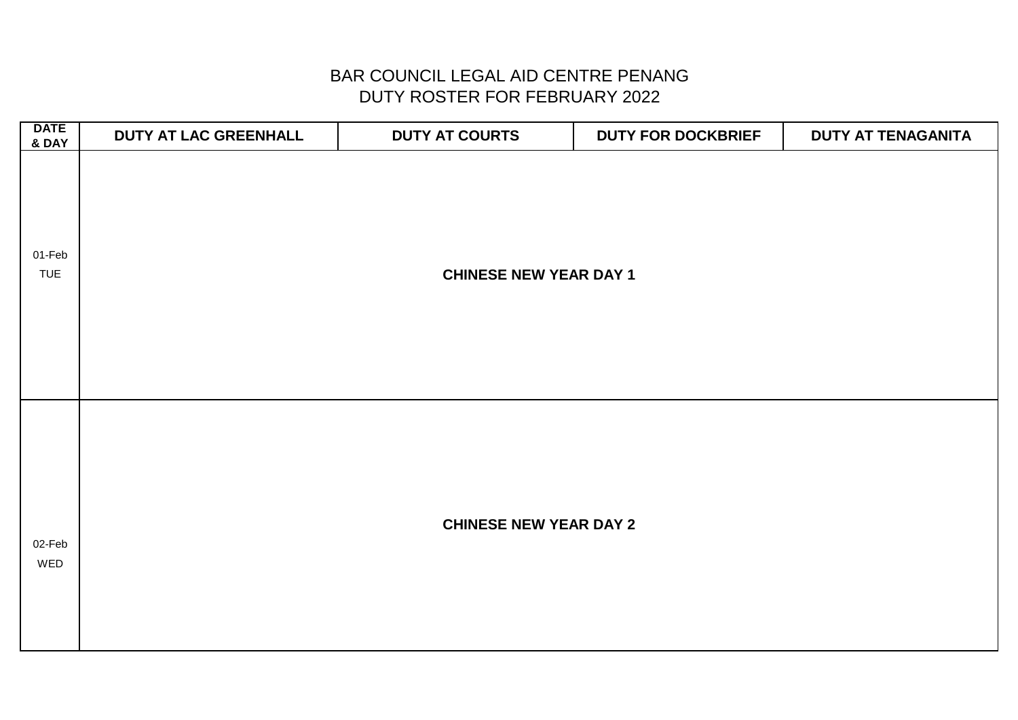| <b>DATE</b><br>& DAY | DUTY AT LAC GREENHALL | <b>DUTY AT COURTS</b>         | <b>DUTY FOR DOCKBRIEF</b> | DUTY AT TENAGANITA |
|----------------------|-----------------------|-------------------------------|---------------------------|--------------------|
| 01-Feb<br><b>TUE</b> |                       | <b>CHINESE NEW YEAR DAY 1</b> |                           |                    |
| 02-Feb<br>WED        |                       | <b>CHINESE NEW YEAR DAY 2</b> |                           |                    |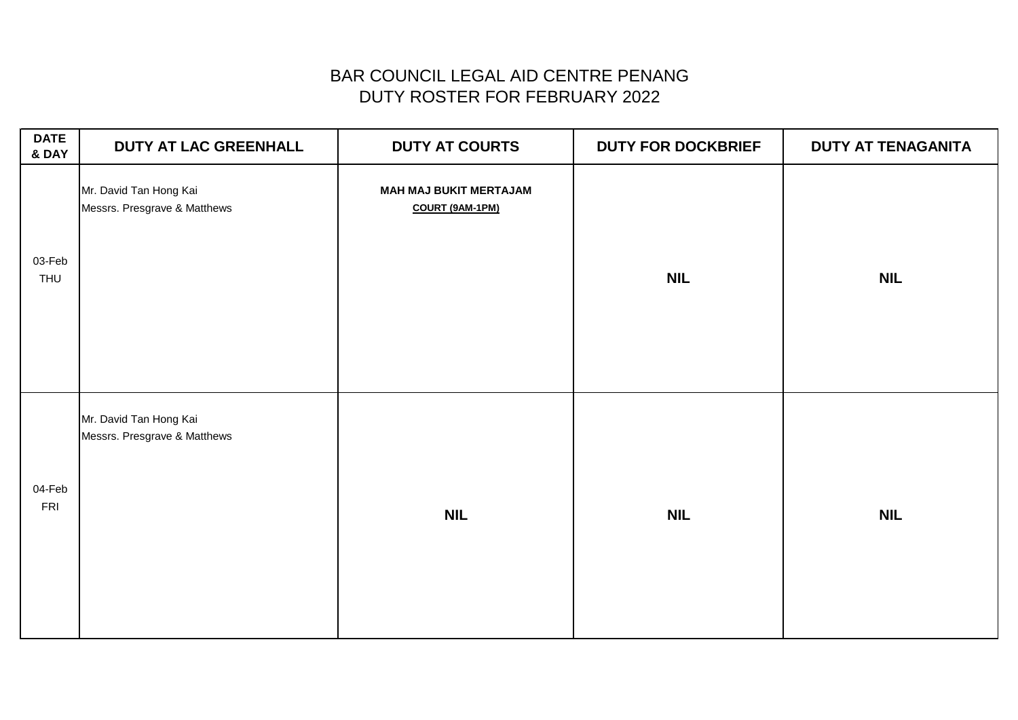# DUTY ROSTER FOR FEBRUARY 2022 BAR COUNCIL LEGAL AID CENTRE PENANG

| <b>DATE</b><br>& DAY | <b>DUTY AT LAC GREENHALL</b>                           | <b>DUTY AT COURTS</b>                            | <b>DUTY FOR DOCKBRIEF</b> | <b>DUTY AT TENAGANITA</b> |
|----------------------|--------------------------------------------------------|--------------------------------------------------|---------------------------|---------------------------|
| 03-Feb<br>THU        | Mr. David Tan Hong Kai<br>Messrs. Presgrave & Matthews | <b>MAH MAJ BUKIT MERTAJAM</b><br>COURT (9AM-1PM) | <b>NIL</b>                | <b>NIL</b>                |
| 04-Feb<br>FRI        | Mr. David Tan Hong Kai<br>Messrs. Presgrave & Matthews | <b>NIL</b>                                       | <b>NIL</b>                | <b>NIL</b>                |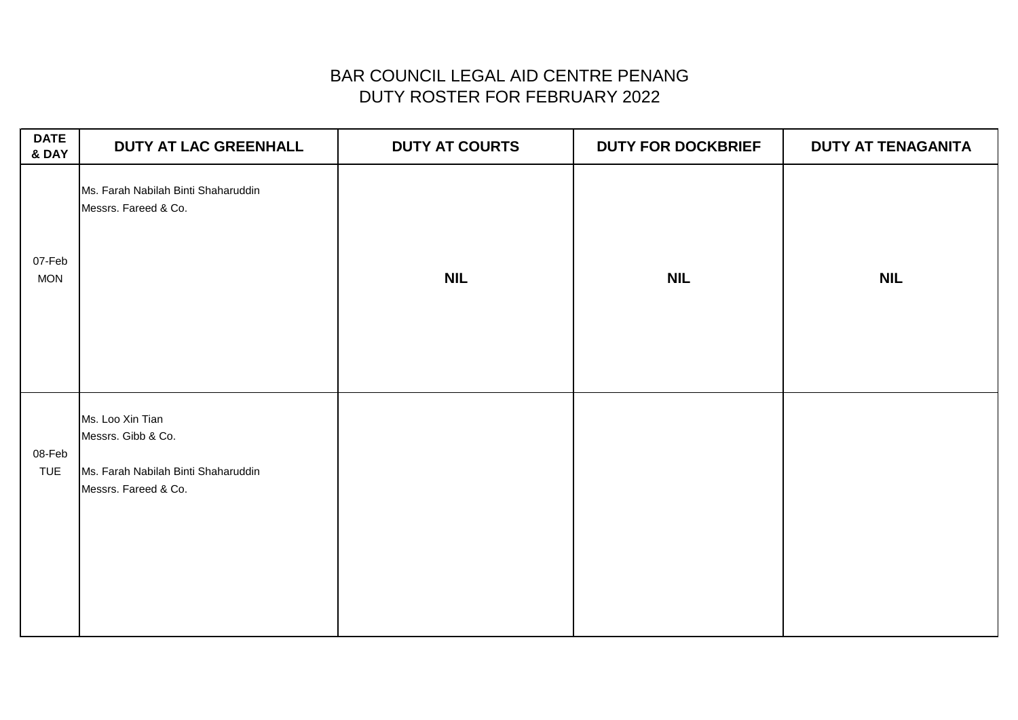| <b>DATE</b><br>& DAY | DUTY AT LAC GREENHALL                                                                                 | <b>DUTY AT COURTS</b> | <b>DUTY FOR DOCKBRIEF</b> | <b>DUTY AT TENAGANITA</b> |
|----------------------|-------------------------------------------------------------------------------------------------------|-----------------------|---------------------------|---------------------------|
| 07-Feb<br><b>MON</b> | Ms. Farah Nabilah Binti Shaharuddin<br>Messrs. Fareed & Co.                                           | <b>NIL</b>            | <b>NIL</b>                | <b>NIL</b>                |
| 08-Feb<br><b>TUE</b> | Ms. Loo Xin Tian<br>Messrs. Gibb & Co.<br>Ms. Farah Nabilah Binti Shaharuddin<br>Messrs. Fareed & Co. |                       |                           |                           |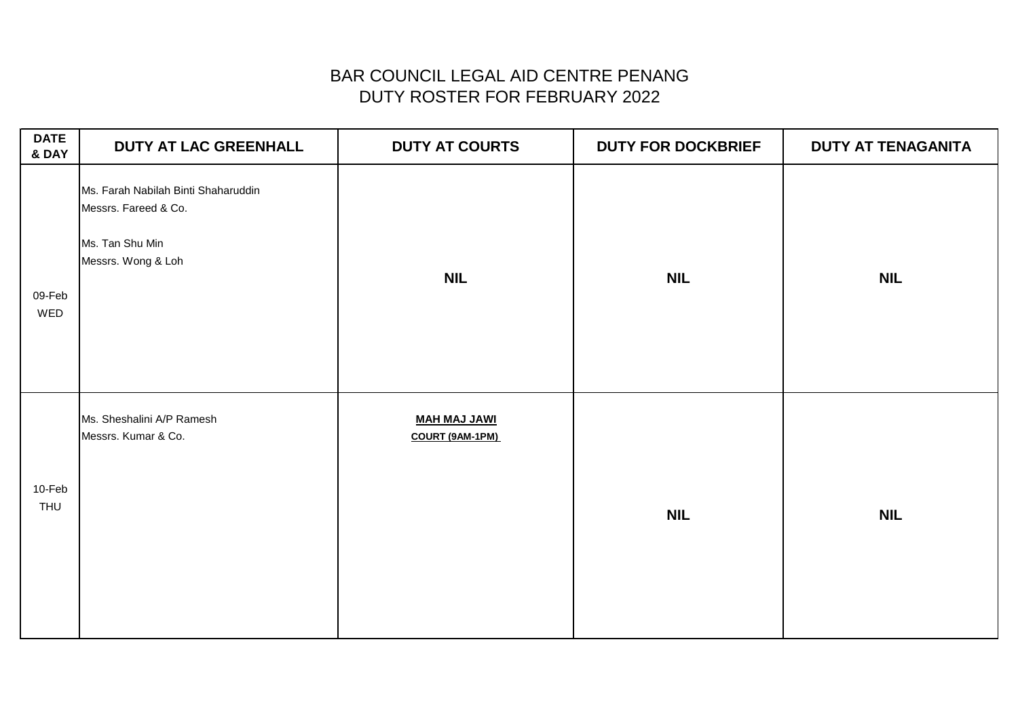| <b>DATE</b><br>& DAY | DUTY AT LAC GREENHALL                                                                                | <b>DUTY AT COURTS</b>                  | <b>DUTY FOR DOCKBRIEF</b> | <b>DUTY AT TENAGANITA</b> |
|----------------------|------------------------------------------------------------------------------------------------------|----------------------------------------|---------------------------|---------------------------|
| 09-Feb<br>WED        | Ms. Farah Nabilah Binti Shaharuddin<br>Messrs. Fareed & Co.<br>Ms. Tan Shu Min<br>Messrs. Wong & Loh | <b>NIL</b>                             | <b>NIL</b>                | <b>NIL</b>                |
| 10-Feb<br>THU        | Ms. Sheshalini A/P Ramesh<br>Messrs. Kumar & Co.                                                     | <b>MAH MAJ JAWI</b><br>COURT (9AM-1PM) | <b>NIL</b>                | <b>NIL</b>                |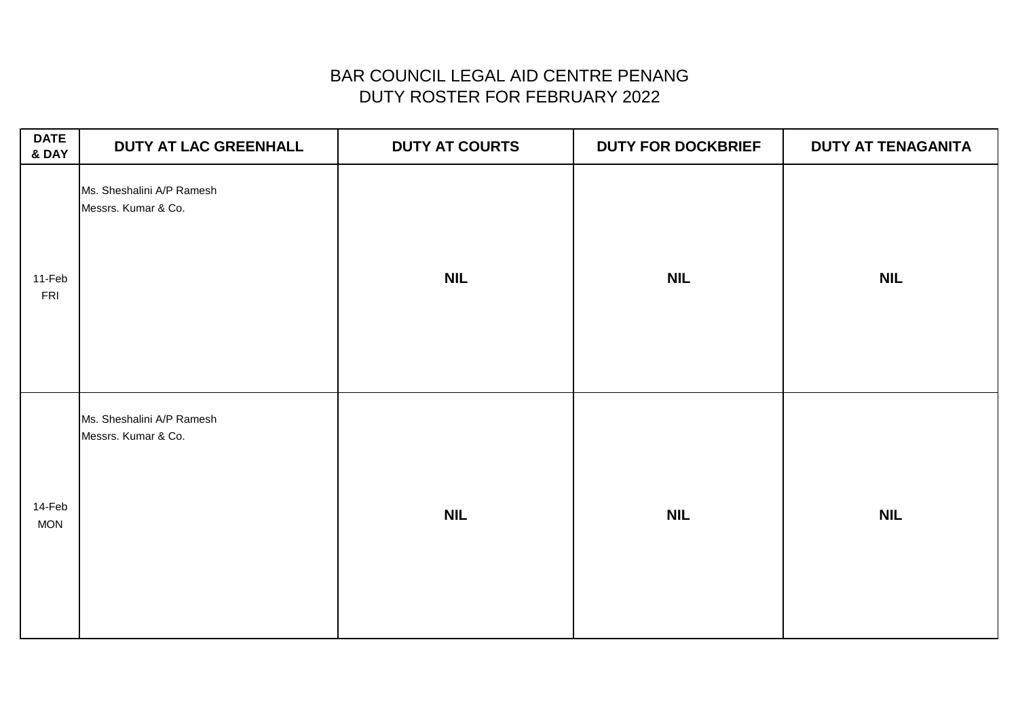| <b>DATE</b><br>& DAY | DUTY AT LAC GREENHALL                            | <b>DUTY AT COURTS</b> | <b>DUTY FOR DOCKBRIEF</b> | DUTY AT TENAGANITA |
|----------------------|--------------------------------------------------|-----------------------|---------------------------|--------------------|
| 11-Feb<br><b>FRI</b> | Ms. Sheshalini A/P Ramesh<br>Messrs. Kumar & Co. | <b>NIL</b>            | <b>NIL</b>                | <b>NIL</b>         |
| 14-Feb<br><b>MON</b> | Ms. Sheshalini A/P Ramesh<br>Messrs. Kumar & Co. | <b>NIL</b>            | <b>NIL</b>                | <b>NIL</b>         |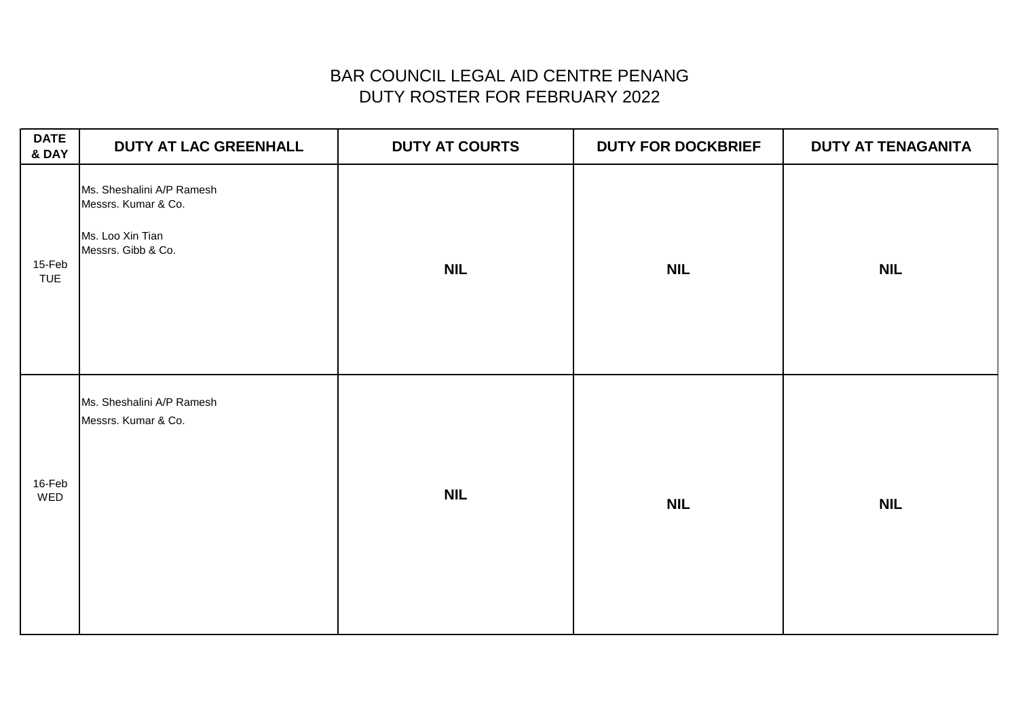| <b>DATE</b><br>& DAY | <b>DUTY AT LAC GREENHALL</b>                                                               | <b>DUTY AT COURTS</b> | <b>DUTY FOR DOCKBRIEF</b> | <b>DUTY AT TENAGANITA</b> |
|----------------------|--------------------------------------------------------------------------------------------|-----------------------|---------------------------|---------------------------|
| 15-Feb<br><b>TUE</b> | Ms. Sheshalini A/P Ramesh<br>Messrs. Kumar & Co.<br>Ms. Loo Xin Tian<br>Messrs. Gibb & Co. | <b>NIL</b>            | <b>NIL</b>                | <b>NIL</b>                |
| 16-Feb<br>WED        | Ms. Sheshalini A/P Ramesh<br>Messrs. Kumar & Co.                                           | <b>NIL</b>            | <b>NIL</b>                | <b>NIL</b>                |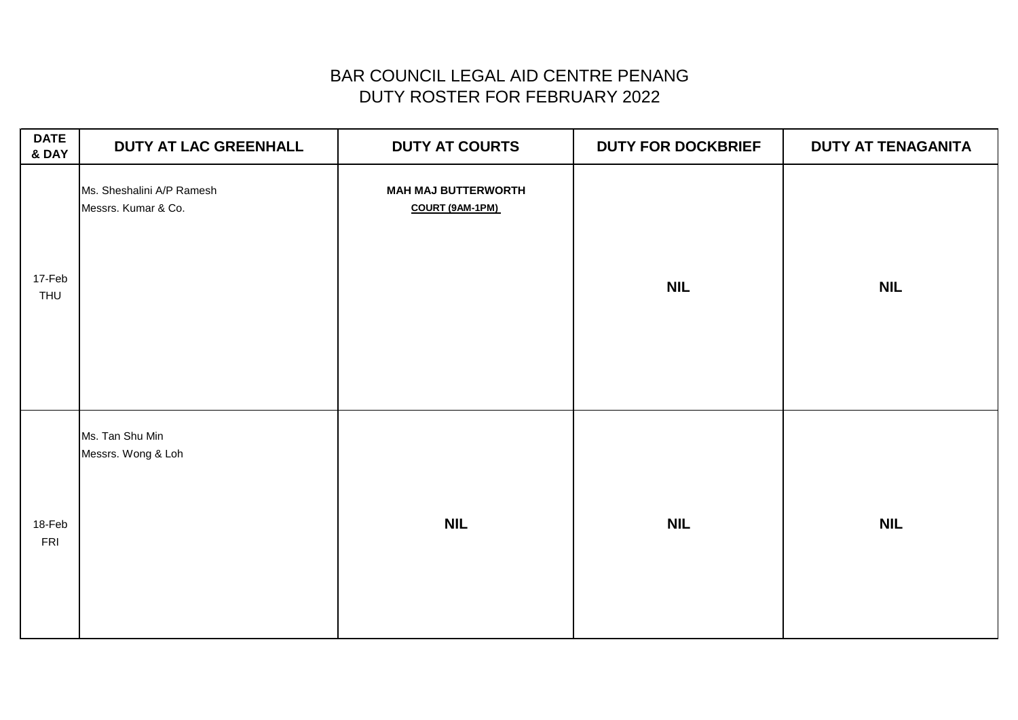| <b>DATE</b><br>& DAY | <b>DUTY AT LAC GREENHALL</b>                     | <b>DUTY AT COURTS</b>                         | <b>DUTY FOR DOCKBRIEF</b> | <b>DUTY AT TENAGANITA</b> |
|----------------------|--------------------------------------------------|-----------------------------------------------|---------------------------|---------------------------|
| 17-Feb<br>THU        | Ms. Sheshalini A/P Ramesh<br>Messrs. Kumar & Co. | <b>MAH MAJ BUTTERWORTH</b><br>COURT (9AM-1PM) | <b>NIL</b>                | <b>NIL</b>                |
| 18-Feb<br>FRI        | Ms. Tan Shu Min<br>Messrs. Wong & Loh            | <b>NIL</b>                                    | <b>NIL</b>                | <b>NIL</b>                |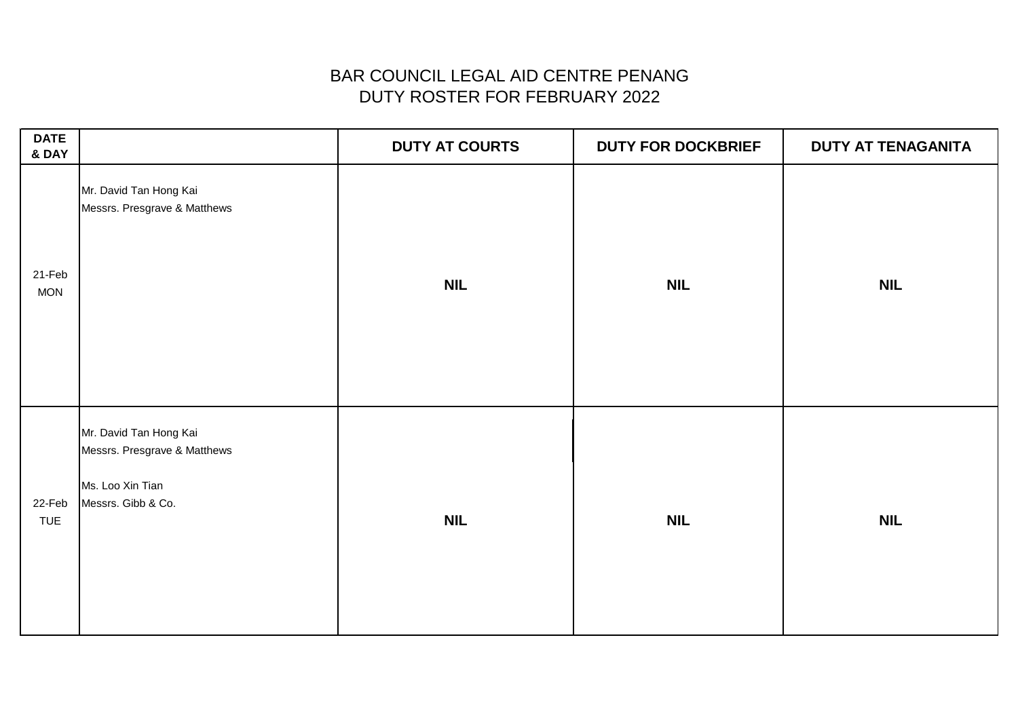| <b>DATE</b><br>& DAY |                                                                                                  | <b>DUTY AT COURTS</b> | <b>DUTY FOR DOCKBRIEF</b> | DUTY AT TENAGANITA |
|----------------------|--------------------------------------------------------------------------------------------------|-----------------------|---------------------------|--------------------|
| 21-Feb<br><b>MON</b> | Mr. David Tan Hong Kai<br>Messrs. Presgrave & Matthews                                           | <b>NIL</b>            | <b>NIL</b>                | <b>NIL</b>         |
| 22-Feb<br>TUE        | Mr. David Tan Hong Kai<br>Messrs. Presgrave & Matthews<br>Ms. Loo Xin Tian<br>Messrs. Gibb & Co. | <b>NIL</b>            | <b>NIL</b>                | <b>NIL</b>         |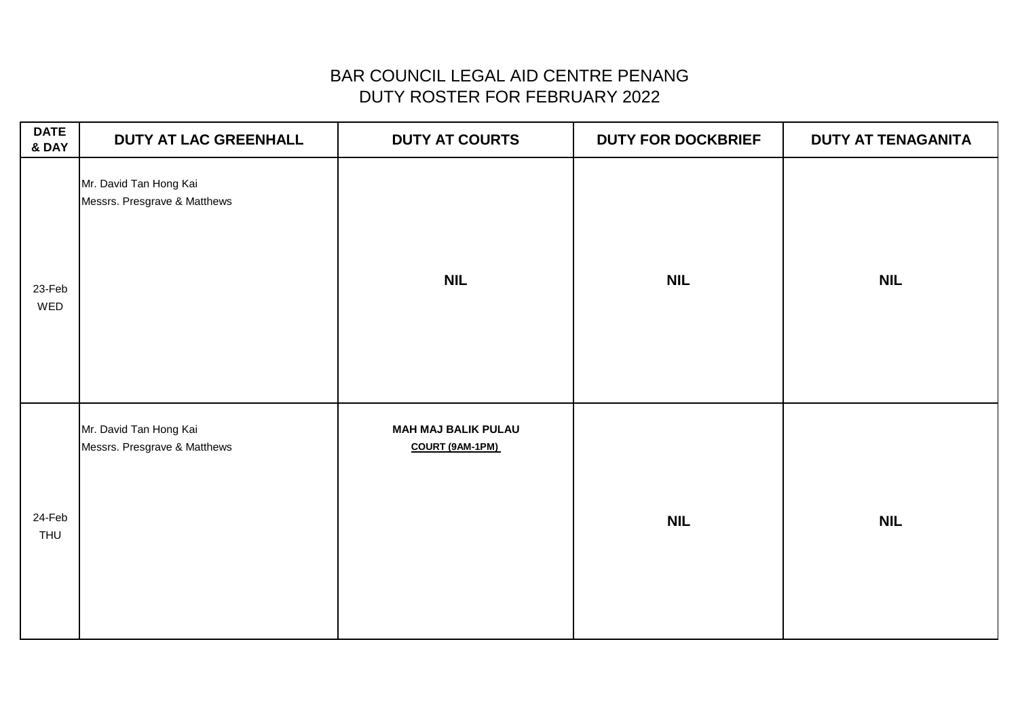| <b>DATE</b><br>& DAY | <b>DUTY AT LAC GREENHALL</b>                           | <b>DUTY AT COURTS</b>                         | <b>DUTY FOR DOCKBRIEF</b> | <b>DUTY AT TENAGANITA</b> |
|----------------------|--------------------------------------------------------|-----------------------------------------------|---------------------------|---------------------------|
| 23-Feb<br>WED        | Mr. David Tan Hong Kai<br>Messrs. Presgrave & Matthews | <b>NIL</b>                                    | <b>NIL</b>                | <b>NIL</b>                |
| 24-Feb<br>THU        | Mr. David Tan Hong Kai<br>Messrs. Presgrave & Matthews | <b>MAH MAJ BALIK PULAU</b><br>COURT (9AM-1PM) | <b>NIL</b>                | <b>NIL</b>                |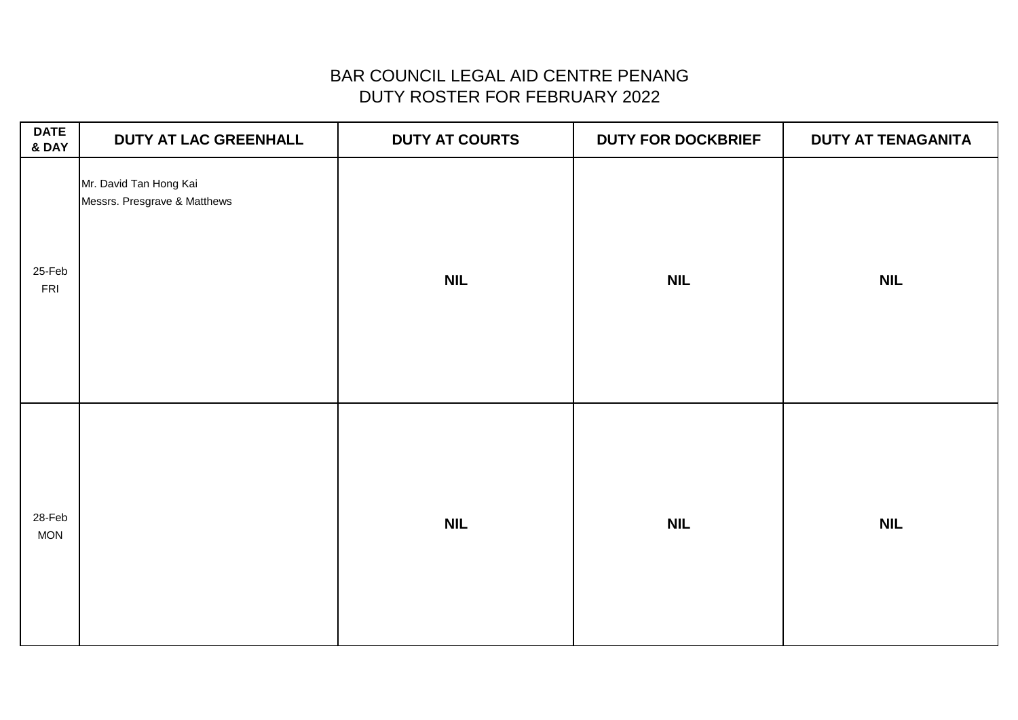| <b>DATE</b><br>& DAY | <b>DUTY AT LAC GREENHALL</b>                           | <b>DUTY AT COURTS</b> | <b>DUTY FOR DOCKBRIEF</b> | DUTY AT TENAGANITA |
|----------------------|--------------------------------------------------------|-----------------------|---------------------------|--------------------|
| 25-Feb<br>FRI        | Mr. David Tan Hong Kai<br>Messrs. Presgrave & Matthews | <b>NIL</b>            | <b>NIL</b>                | <b>NIL</b>         |
| 28-Feb<br><b>MON</b> |                                                        | <b>NIL</b>            | <b>NIL</b>                | <b>NIL</b>         |